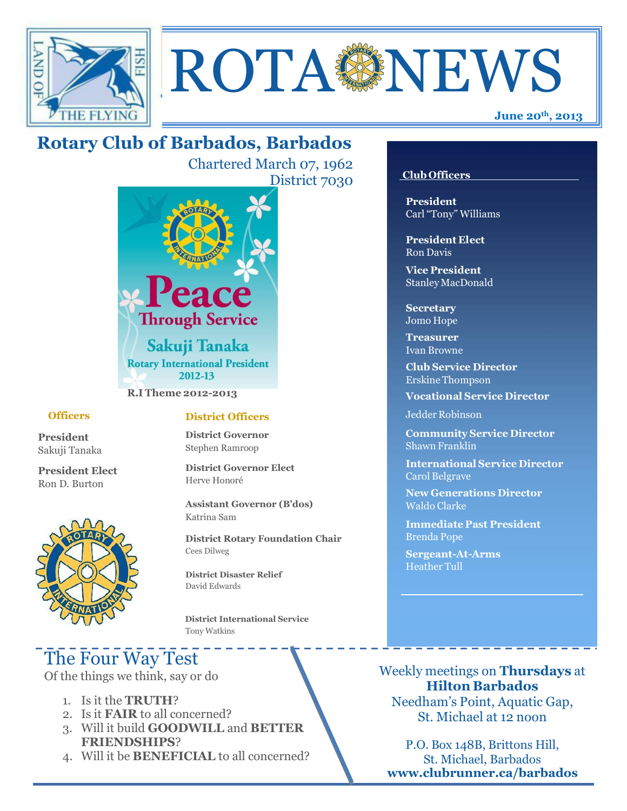



# **Rotary Club of Barbados, Barbados**

Chartered March 07, 1962 District 7030



**R.I Theme 2012-2013**

#### **Officers**

**President** Sakuji Tanaka

**President Elect** Ron D. Burton



#### **District Officers**

**District Governor** Stephen Ramroop

**District Governor Elect** Herve Honoré

**Assistant Governor (B'dos)** Katrina Sam

**District Rotary Foundation Chair** Cees Dilweg

**District Disaster Relief**  David Edwards

 **District International Service** Tony Watkins

# The Four Way Test

Of the things we think, say or do

- 1. Is it the **TRUTH**?
- 2. Is it **FAIR** to all concerned?
- 3. Will it build **GOODWILL** and **BETTER FRIENDSHIPS**?
- 4. Will it be **BENEFICIAL** to all concerned?

#### **Club Officers**

**President** Carl "Tony" Williams

**President Elect** Ron Davis

**Vice President** StanleyMacDonald

**Secretary** Jomo Hope

**Treasurer** Ivan Browne

**Club Service Director** Erskine Thompson

**Vocational Service Director**

Jedder Robinson

**Community Service Director** Shawn Franklin

**International Service Director** Carol Belgrave

**New Generations Director** Waldo Clarke

**Immediate Past President** Brenda Pope

**Sergeant-At-Arms** Heather Tull

Weekly meetings on **Thursdays** at **Hilton Barbados** Needham's Point, Aquatic Gap, St. Michael at 12 noon

P.O. Box 148B, Brittons Hill, St. Michael, Barbados **[www.clubrunner.ca/barbados](http://www.clubrunner.ca/barbados)**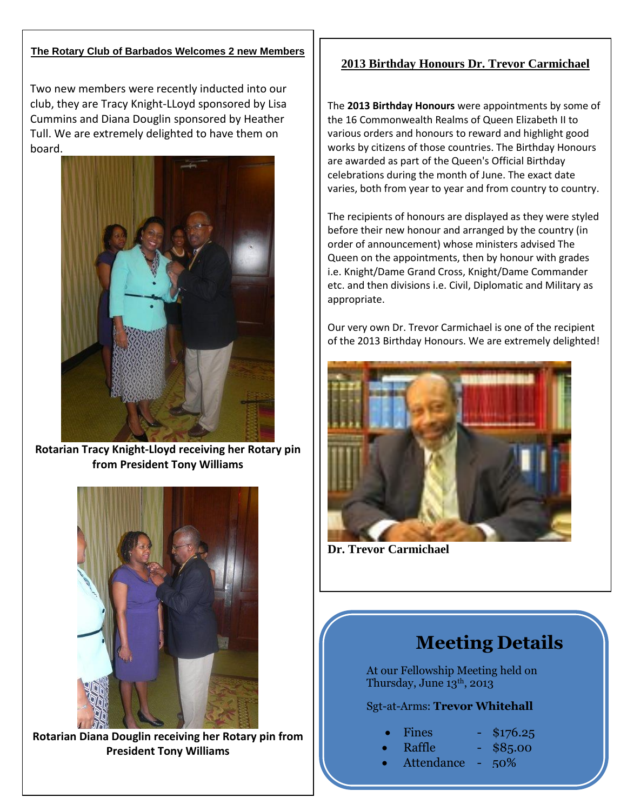#### **The Rotary Club of Barbados Welcomes 2 new Members**

Two new members were recently inducted into our club, they are Tracy Knight-LLoyd sponsored by Lisa Cummins and Diana Douglin sponsored by Heather Tull. We are extremely delighted to have them on board.



**Rotarian Tracy Knight-Lloyd receiving her Rotary pin from President Tony Williams**



**Rotarian Diana Douglin receiving her Rotary pin from President Tony Williams**

## **2013 Birthday Honours Dr. Trevor Carmichael**

The **2013 Birthday Honours** were appointments by some of the 16 [Commonwealth Realms](http://en.wikipedia.org/wiki/Commonwealth_Realms) of Queen [Elizabeth II](http://en.wikipedia.org/wiki/Elizabeth_II) to [various orders and honours](http://en.wikipedia.org/wiki/Orders_and_decorations_of_the_Commonwealth_realms) to reward and highlight good works by citizens of those countries. Th[e Birthday Honours](http://en.wikipedia.org/wiki/Birthday_Honours) are awarded as part of the [Queen's Official Birthday](http://en.wikipedia.org/wiki/Queen%27s_Official_Birthday) celebrations during the month of June. The exact date varies, both from year to year and from country to country.

The recipients of honours are displayed as they were styled before their new honour and arranged by the country (in order of announcement) whose ministers advised The Queen on the appointments, then by honour with grades i.e. Knight/Dame Grand Cross, Knight/Dame Commander etc. and then divisions i.e. Civil, Diplomatic and Military as appropriate.

Our very own Dr. Trevor Carmichael is one of the recipient of the 2013 Birthday Honours. We are extremely delighted!



**Dr. Trevor Carmichael** 

# **Meeting Details**

At our Fellowship Meeting held on Thursday, June 13<sup>th</sup>, 2013

### Sgt-at-Arms: **Trevor Whitehall**

- - Fines \$176.25
	- Raffle \$85.00
	- Attendance 50%
-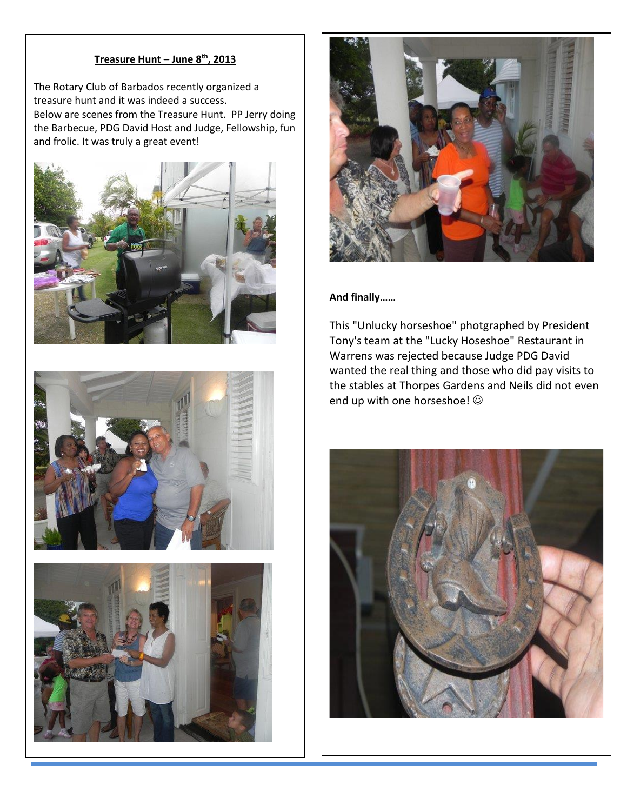#### **Treasure Hunt – June 8 th, 2013**

The Rotary Club of Barbados recently organized a<br>
the case was bounded above and the contract of the contract of the contract of the contract of the contract of the<br>
Second above and the contract of the contract of the con treasure hunt and it was indeed a success. Below are scenes from the Treasure Hunt. PP Jerry doing the Barbecue, PDG David Host and Judge, Fellowship, fun and frolic. It was truly a great event!









#### **And finally……**

This "Unlucky horseshoe" photgraphed by President Tony's team at the "Lucky Hoseshoe" Restaurant in Warrens was rejected because Judge PDG David wanted the real thing and those who did pay visits to the stables at Thorpes Gardens and Neils did not even end up with one horseshoe!  $\odot$